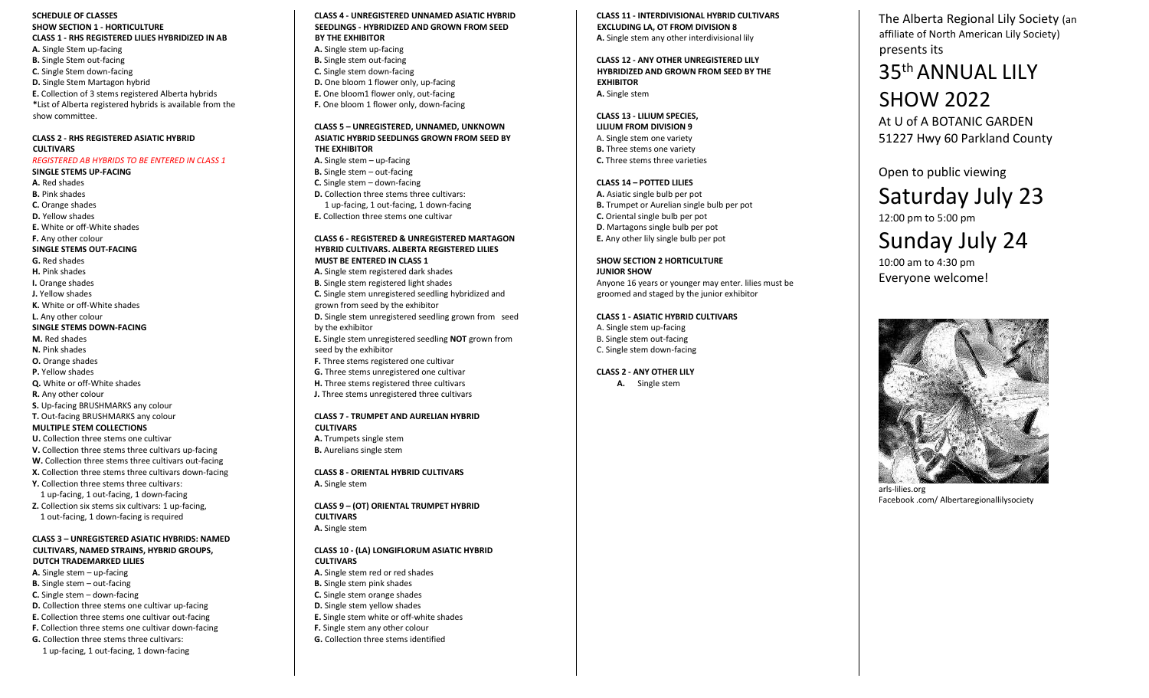**SCHEDULE OF CLASSES SHOW SECTION 1 - HORTICULTURE CLASS 1 - RHS REGISTERED LILIES HYBRIDIZED IN A B A.** Single Stem up -facing **B.** Single Stem out -facing **C.** Single Stem down -facing **D.** Single Stem Martagon hybrid **E.** Collection of 3 stems registered Alberta hybrids **\***List of Alberta registered hybrids is available from the show committee .

### **CLASS 2 - RHS REGISTERED ASIATIC HYBRID CULTIVARS**

### *REGISTERED AB HYBRIDS TO BE ENTERED IN CLASS 1*

**SINGLE STEMS UP -FACING A.** Red shades **B.** Pink shades **C.** Orange shades **D.** Yellow shades **E.** White or off -White shades **F.** Any other colour **SINGLE STEMS OUT -FACING G.** Red shades **H.** Pink shades **I.** Orange shades **J.** Yellow shades **K.** White or off -White shades **L.** Any other colour **SINGLE STEMS DOWN -FACING M.** Red shades **N.** Pink shades **O.** Orange shades **P.** Yellow shades **Q.** White or off -White shades **R.** Any other colour **S.** U p -facing BRUSHMARKS any colour **T.** Out -facing BRUSHMARKS any colour **MULTIPLE STEM COLLECTIONS U.** Collection three stems one cultivar

**V.** Collection three stems three cultivars up -facing **W.** Collection three stems three cultivars out -facing **X.** Collection three stems three cultivars down -facing **Y.** Collection three stems three cultivars : 1 up -facing, 1 out -facing, 1 down -facing **Z.** Collection six stems six cultivars: 1 up -facing, 1 out -facing, 1 down -facing is required

### **CLASS 3 – UNREGISTERED ASIATIC HYBRIDS: NAMED CULTIVARS, NAMED STRAINS, HYBRID GROUPS, DUTCH TRADEMARKED LILIES**

A. Single stem - up-facing **B.** Single stem - out-facing **C.** Single stem – down-facing **D.** Collection three stems one cultivar up-facing **E.** Collection three stems one cultivar out -facing **F.** Collection three stems one cultivar down -facing **G.** Collection three stems three cultivars :

1 up -facing, 1 out -facing, 1 down -facing

**CLASS 4 - UNREGISTERED UNNAMED ASIATIC HYBRID SEEDLINGS - HYBRIDIZED AND GROWN FROM SEED BY THE EXHIBITOR A.** Single stem up -facing **B.** Single stem out -facing **C.** Single stem down -facing **D.** One bloom 1 flower only, up -facing

F. One bloom 1 flower only, down-facing **CLASS 5 – UNREGISTERED , UNNAMED , UNKNOWN ASIATIC HYBRID SEEDLINGS GROWN FROM SEED BY THE EXHIBITOR** A. Single stem - up-facing **B.** Single stem - out-facing

**E.** One bloom1 flower only , out -facing

**C.** Single stem - down-facing **D.** Collection three stems three cultivars : 1 up-facing, 1 out-facing, 1 down-facing **E.** Collection three stems one cultivar

### **CLASS 6 - REGISTERED & UNREGISTERED MARTAGON HYBRID CULTIVARS . ALBERTA REGISTERED LILIES MUST BE ENTERED IN CLASS 1**

**A.** Single stem registered dark shades **B**. Single stem registered light shades **C.** Single stem unregistered seedling hybridized and grown from seed by the exhibitor **D.** Single stem unregistered seedling grown from seed by the exhibitor **E.** Single stem unregistered seedling **NOT** grown from seed by the exhibitor **F.** Three stems registered one cultivar **G.** Three stems unregistered one cultivar **H.** Three stems registered three cultivars **J.** Three stems unregistered three cultivars

### **CLASS 7 - TRUMPET AND AURELIAN HYBRID CULTIVARS A.** Trumpets single stem **B.** Aurelians single stem

**CLASS 8 - ORIENTAL HYBRID CULTIVARS A.** Single stem

**CLASS 9 – (OT) ORIENTAL TRUMPET HYBRID CULTIVARS A.** Single stem

### **CLASS 10 - (LA) LONGIFLORUM ASIATIC HYBRID CULTIVARS A.** Single stem red or red shades **B.** Single stem pink shades **C.** Single stem orange shades **D.** Single stem yellow shades **E.** Single stem white or off -white shades **F.** Single stem any other colour **G.** Collection three stems identified

**CLASS 11 - INTERDIVISIONAL HYBRID CULTIVARS EXCLUDING LA , OT FROM DIVISION 8 A.** Single stem any other interdivisional lily

### **CLASS 12 - ANY OTHER UNREGISTERED LILY HYBRIDIZED AND GROWN FROM SEED BY THE EXHIBITOR A.** Single stem

**CLASS 13 - LILIUM SPECIES , LILIUM FROM DIVISION 9** A. Single stem one variety **B.** Three stems one variety **C.** Three stems three varieties

### **CLASS 14 – POTTED LILIES A.** Asiatic single bulb per pot **B.** Trumpet or Aurelian single bulb per pot **C.** Oriental single bulb per pot **D**. Martagons single bulb per pot **E.** Any other lily single bulb per pot

**SHOW SECTION 2 HORTICULTURE JUNIOR SHOW** Anyone 16 years or younger may enter. lilies must be groomed and staged by the junior exhibitor

### **CLASS 1 - ASIATIC HYBRID CULTIVARS**

A. Single stem up -facing B. Single stem out -facing C. Single stem down -facing

### **CLASS 2 - ANY OTHER LILY**

**A.** Single stem

The Alberta Regional Lily Society (an affiliate of North American Lily Society) presents its

## 35<sup>th</sup> ANNUAL LILY SHOW 2022

At U of A BOTANIC GARDEN 51227 Hwy 60 Parkland County

Open to public viewing Saturday July 2 3 1 2:00 pm to 5:00 pm

# Sunday July 2 4

10:00 am to 4:30 pm Everyone welcome!



arls -lilies.org Facebook .com/ Albertaregionallilysociety